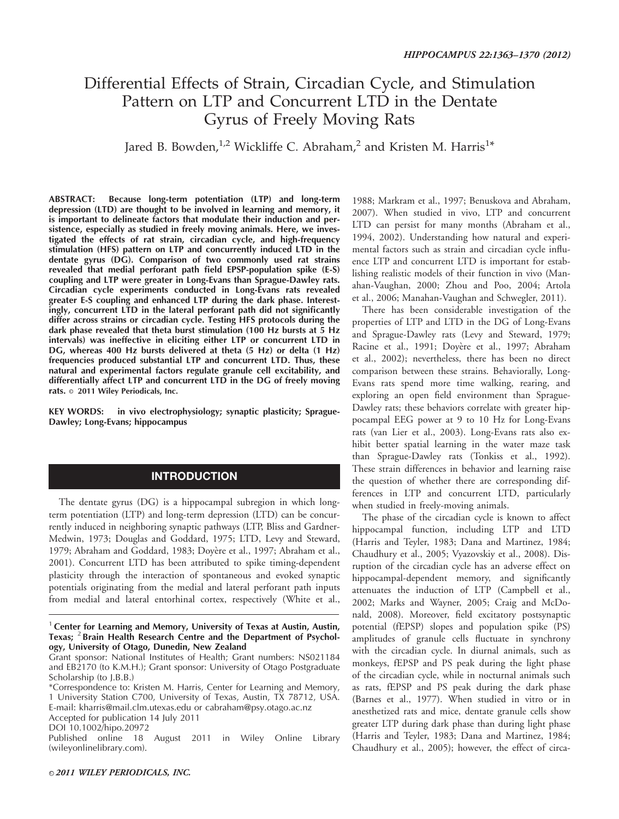# Differential Effects of Strain, Circadian Cycle, and Stimulation Pattern on LTP and Concurrent LTD in the Dentate Gyrus of Freely Moving Rats

Jared B. Bowden,<sup>1,2</sup> Wickliffe C. Abraham,<sup>2</sup> and Kristen M. Harris<sup>1\*</sup>

ABSTRACT: Because long-term potentiation (LTP) and long-term depression (LTD) are thought to be involved in learning and memory, it is important to delineate factors that modulate their induction and persistence, especially as studied in freely moving animals. Here, we investigated the effects of rat strain, circadian cycle, and high-frequency stimulation (HFS) pattern on LTP and concurrently induced LTD in the dentate gyrus (DG). Comparison of two commonly used rat strains revealed that medial perforant path field EPSP-population spike (E-S) coupling and LTP were greater in Long-Evans than Sprague-Dawley rats. Circadian cycle experiments conducted in Long-Evans rats revealed greater E-S coupling and enhanced LTP during the dark phase. Interestingly, concurrent LTD in the lateral perforant path did not significantly differ across strains or circadian cycle. Testing HFS protocols during the dark phase revealed that theta burst stimulation (100 Hz bursts at 5 Hz intervals) was ineffective in eliciting either LTP or concurrent LTD in DG, whereas 400 Hz bursts delivered at theta (5 Hz) or delta (1 Hz) frequencies produced substantial LTP and concurrent LTD. Thus, these natural and experimental factors regulate granule cell excitability, and differentially affect LTP and concurrent LTD in the DG of freely moving rats.  $\circ$  2011 Wiley Periodicals, Inc.

KEY WORDS: in vivo electrophysiology; synaptic plasticity; Sprague-Dawley; Long-Evans; hippocampus

## **INTRODUCTION**

The dentate gyrus (DG) is a hippocampal subregion in which longterm potentiation (LTP) and long-term depression (LTD) can be concurrently induced in neighboring synaptic pathways (LTP, Bliss and Gardner-Medwin, 1973; Douglas and Goddard, 1975; LTD, Levy and Steward, 1979; Abraham and Goddard, 1983; Doyère et al., 1997; Abraham et al., 2001). Concurrent LTD has been attributed to spike timing-dependent plasticity through the interaction of spontaneous and evoked synaptic potentials originating from the medial and lateral perforant path inputs from medial and lateral entorhinal cortex, respectively (White et al.,

Accepted for publication 14 July 2011

1988; Markram et al., 1997; Benuskova and Abraham, 2007). When studied in vivo, LTP and concurrent LTD can persist for many months (Abraham et al., 1994, 2002). Understanding how natural and experimental factors such as strain and circadian cycle influence LTP and concurrent LTD is important for establishing realistic models of their function in vivo (Manahan-Vaughan, 2000; Zhou and Poo, 2004; Artola et al., 2006; Manahan-Vaughan and Schwegler, 2011).

There has been considerable investigation of the properties of LTP and LTD in the DG of Long-Evans and Sprague-Dawley rats (Levy and Steward, 1979; Racine et al., 1991; Doyère et al., 1997; Abraham et al., 2002); nevertheless, there has been no direct comparison between these strains. Behaviorally, Long-Evans rats spend more time walking, rearing, and exploring an open field environment than Sprague-Dawley rats; these behaviors correlate with greater hippocampal EEG power at 9 to 10 Hz for Long-Evans rats (van Lier et al., 2003). Long-Evans rats also exhibit better spatial learning in the water maze task than Sprague-Dawley rats (Tonkiss et al., 1992). These strain differences in behavior and learning raise the question of whether there are corresponding differences in LTP and concurrent LTD, particularly when studied in freely-moving animals.

The phase of the circadian cycle is known to affect hippocampal function, including LTP and LTD (Harris and Teyler, 1983; Dana and Martinez, 1984; Chaudhury et al., 2005; Vyazovskiy et al., 2008). Disruption of the circadian cycle has an adverse effect on hippocampal-dependent memory, and significantly attenuates the induction of LTP (Campbell et al., 2002; Marks and Wayner, 2005; Craig and McDonald, 2008). Moreover, field excitatory postsynaptic potential (fEPSP) slopes and population spike (PS) amplitudes of granule cells fluctuate in synchrony with the circadian cycle. In diurnal animals, such as monkeys, fEPSP and PS peak during the light phase of the circadian cycle, while in nocturnal animals such as rats, fEPSP and PS peak during the dark phase (Barnes et al., 1977). When studied in vitro or in anesthetized rats and mice, dentate granule cells show greater LTP during dark phase than during light phase (Harris and Teyler, 1983; Dana and Martinez, 1984; Chaudhury et al., 2005); however, the effect of circa-

 $1$  Center for Learning and Memory, University of Texas at Austin, Austin, Texas;  $2$  Brain Health Research Centre and the Department of Psychology, University of Otago, Dunedin, New Zealand

Grant sponsor: National Institutes of Health; Grant numbers: NS021184 and EB2170 (to K.M.H.); Grant sponsor: University of Otago Postgraduate Scholarship (to J.B.B.)

<sup>\*</sup>Correspondence to: Kristen M. Harris, Center for Learning and Memory, 1 University Station C700, University of Texas, Austin, TX 78712, USA. E-mail: kharris@mail.clm.utexas.edu or cabraham@psy.otago.ac.nz

DOI 10.1002/hipo.20972

Published online 18 August 2011 in Wiley Online Library (wileyonlinelibrary.com).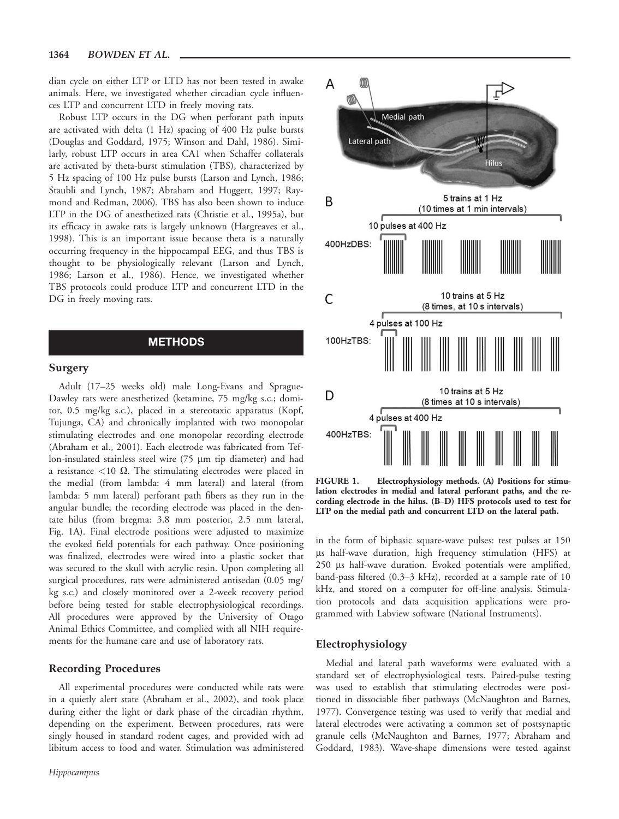dian cycle on either LTP or LTD has not been tested in awake animals. Here, we investigated whether circadian cycle influences LTP and concurrent LTD in freely moving rats.

Robust LTP occurs in the DG when perforant path inputs are activated with delta (1 Hz) spacing of 400 Hz pulse bursts (Douglas and Goddard, 1975; Winson and Dahl, 1986). Similarly, robust LTP occurs in area CA1 when Schaffer collaterals are activated by theta-burst stimulation (TBS), characterized by 5 Hz spacing of 100 Hz pulse bursts (Larson and Lynch, 1986; Staubli and Lynch, 1987; Abraham and Huggett, 1997; Raymond and Redman, 2006). TBS has also been shown to induce LTP in the DG of anesthetized rats (Christie et al., 1995a), but its efficacy in awake rats is largely unknown (Hargreaves et al., 1998). This is an important issue because theta is a naturally occurring frequency in the hippocampal EEG, and thus TBS is thought to be physiologically relevant (Larson and Lynch, 1986; Larson et al., 1986). Hence, we investigated whether TBS protocols could produce LTP and concurrent LTD in the DG in freely moving rats.

# **METHODS**

#### Surgery

Adult (17–25 weeks old) male Long-Evans and Sprague-Dawley rats were anesthetized (ketamine, 75 mg/kg s.c.; domitor, 0.5 mg/kg s.c.), placed in a stereotaxic apparatus (Kopf, Tujunga, CA) and chronically implanted with two monopolar stimulating electrodes and one monopolar recording electrode (Abraham et al., 2001). Each electrode was fabricated from Teflon-insulated stainless steel wire  $(75 \mu m)$  tip diameter) and had a resistance  $<$ 10  $\Omega$ . The stimulating electrodes were placed in the medial (from lambda: 4 mm lateral) and lateral (from lambda: 5 mm lateral) perforant path fibers as they run in the angular bundle; the recording electrode was placed in the dentate hilus (from bregma: 3.8 mm posterior, 2.5 mm lateral, Fig. 1A). Final electrode positions were adjusted to maximize the evoked field potentials for each pathway. Once positioning was finalized, electrodes were wired into a plastic socket that was secured to the skull with acrylic resin. Upon completing all surgical procedures, rats were administered antisedan (0.05 mg/ kg s.c.) and closely monitored over a 2-week recovery period before being tested for stable electrophysiological recordings. All procedures were approved by the University of Otago Animal Ethics Committee, and complied with all NIH requirements for the humane care and use of laboratory rats.

## Recording Procedures

All experimental procedures were conducted while rats were in a quietly alert state (Abraham et al., 2002), and took place during either the light or dark phase of the circadian rhythm, depending on the experiment. Between procedures, rats were singly housed in standard rodent cages, and provided with ad libitum access to food and water. Stimulation was administered



FIGURE 1. Electrophysiology methods. (A) Positions for stimulation electrodes in medial and lateral perforant paths, and the recording electrode in the hilus. (B–D) HFS protocols used to test for LTP on the medial path and concurrent LTD on the lateral path.

in the form of biphasic square-wave pulses: test pulses at 150 ls half-wave duration, high frequency stimulation (HFS) at 250 µs half-wave duration. Evoked potentials were amplified, band-pass filtered (0.3–3 kHz), recorded at a sample rate of 10 kHz, and stored on a computer for off-line analysis. Stimulation protocols and data acquisition applications were programmed with Labview software (National Instruments).

#### Electrophysiology

Medial and lateral path waveforms were evaluated with a standard set of electrophysiological tests. Paired-pulse testing was used to establish that stimulating electrodes were positioned in dissociable fiber pathways (McNaughton and Barnes, 1977). Convergence testing was used to verify that medial and lateral electrodes were activating a common set of postsynaptic granule cells (McNaughton and Barnes, 1977; Abraham and Goddard, 1983). Wave-shape dimensions were tested against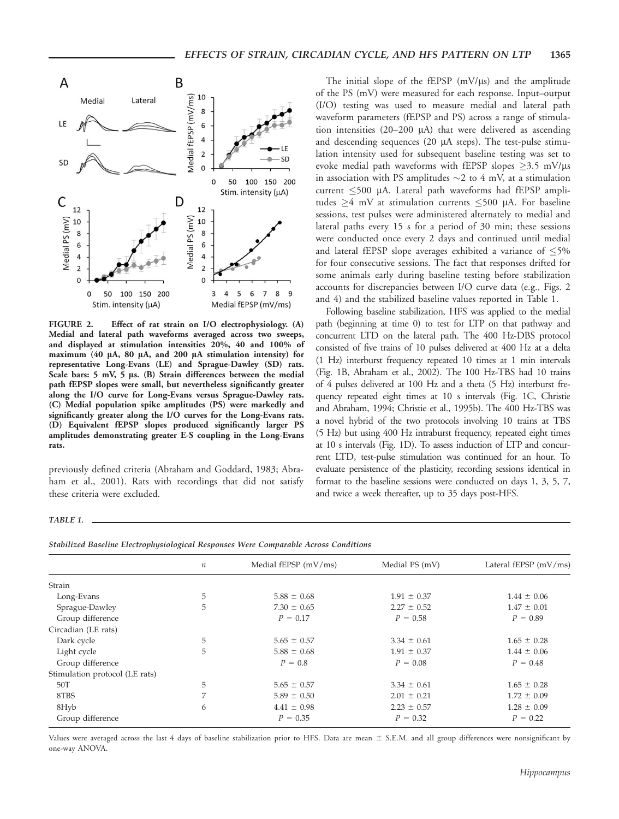

FIGURE 2. Effect of rat strain on I/O electrophysiology. (A) Medial and lateral path waveforms averaged across two sweeps, and displayed at stimulation intensities 20%, 40 and 100% of maximum (40 µA, 80 µA, and 200 µA stimulation intensity) for representative Long-Evans (LE) and Sprague-Dawley (SD) rats. Scale bars:  $5$  mV,  $5$  µs. (B) Strain differences between the medial path fEPSP slopes were small, but nevertheless significantly greater along the I/O curve for Long-Evans versus Sprague-Dawley rats. (C) Medial population spike amplitudes (PS) were markedly and significantly greater along the I/O curves for the Long-Evans rats. (D) Equivalent fEPSP slopes produced significantly larger PS amplitudes demonstrating greater E-S coupling in the Long-Evans rats.

previously defined criteria (Abraham and Goddard, 1983; Abraham et al., 2001). Rats with recordings that did not satisfy these criteria were excluded.

The initial slope of the fEPSP  $(mV/\mu s)$  and the amplitude of the PS (mV) were measured for each response. Input–output (I/O) testing was used to measure medial and lateral path waveform parameters (fEPSP and PS) across a range of stimulation intensities  $(20-200 \mu A)$  that were delivered as ascending and descending sequences (20  $\mu$ A steps). The test-pulse stimulation intensity used for subsequent baseline testing was set to evoke medial path waveforms with fEPSP slopes  $\geq$ 3.5 mV/ $\mu$ s in association with PS amplitudes  $\sim$  2 to 4 mV, at a stimulation current  $\leq 500$  µA. Lateral path waveforms had fEPSP amplitudes  $\geq$ 4 mV at stimulation currents  $\leq$ 500 µA. For baseline sessions, test pulses were administered alternately to medial and lateral paths every 15 s for a period of 30 min; these sessions were conducted once every 2 days and continued until medial and lateral fEPSP slope averages exhibited a variance of  $\leq$ 5% for four consecutive sessions. The fact that responses drifted for some animals early during baseline testing before stabilization accounts for discrepancies between I/O curve data (e.g., Figs. 2 and 4) and the stabilized baseline values reported in Table 1.

Following baseline stabilization, HFS was applied to the medial path (beginning at time 0) to test for LTP on that pathway and concurrent LTD on the lateral path. The 400 Hz-DBS protocol consisted of five trains of 10 pulses delivered at 400 Hz at a delta (1 Hz) interburst frequency repeated 10 times at 1 min intervals (Fig. 1B, Abraham et al., 2002). The 100 Hz-TBS had 10 trains of 4 pulses delivered at 100 Hz and a theta (5 Hz) interburst frequency repeated eight times at 10 s intervals (Fig. 1C, Christie and Abraham, 1994; Christie et al., 1995b). The 400 Hz-TBS was a novel hybrid of the two protocols involving 10 trains at TBS (5 Hz) but using 400 Hz intraburst frequency, repeated eight times at 10 s intervals (Fig. 1D). To assess induction of LTP and concurrent LTD, test-pulse stimulation was continued for an hour. To evaluate persistence of the plasticity, recording sessions identical in format to the baseline sessions were conducted on days 1, 3, 5, 7, and twice a week thereafter, up to 35 days post-HFS.

#### TABLE 1.

|  |  |  |  | Stabilized Baseline Electrophysiological Responses Were Comparable Across Conditions |
|--|--|--|--|--------------------------------------------------------------------------------------|
|--|--|--|--|--------------------------------------------------------------------------------------|

|                                | $\boldsymbol{n}$ | Medial fEPSP $(mV/ms)$ | Medial PS (mV)  | Lateral fEPSP $(mV/ms)$ |
|--------------------------------|------------------|------------------------|-----------------|-------------------------|
|                                |                  |                        |                 |                         |
| Strain                         |                  |                        |                 |                         |
| Long-Evans                     | 5                | $5.88 \pm 0.68$        | $1.91 \pm 0.37$ | $1.44 \pm 0.06$         |
| Sprague-Dawley                 | 5                | $7.30 \pm 0.65$        | $2.27 \pm 0.52$ | $1.47 \pm 0.01$         |
| Group difference               |                  | $P = 0.17$             | $P = 0.58$      | $P = 0.89$              |
| Circadian (LE rats)            |                  |                        |                 |                         |
| Dark cycle                     | 5                | $5.65 \pm 0.57$        | $3.34 \pm 0.61$ | $1.65 \pm 0.28$         |
| Light cycle                    | 5                | $5.88 \pm 0.68$        | $1.91 \pm 0.37$ | $1.44 \pm 0.06$         |
| Group difference               |                  | $P = 0.8$              | $P = 0.08$      | $P = 0.48$              |
| Stimulation protocol (LE rats) |                  |                        |                 |                         |
| 50T                            | 5                | $5.65 \pm 0.57$        | $3.34 \pm 0.61$ | $1.65 \pm 0.28$         |
| 8TBS                           | 7                | $5.89 \pm 0.50$        | $2.01 \pm 0.21$ | $1.72 \pm 0.09$         |
| 8Hyb                           | 6                | $4.41 \pm 0.98$        | $2.23 \pm 0.57$ | $1.28 \pm 0.09$         |
| Group difference               |                  | $P = 0.35$             | $P = 0.32$      | $P = 0.22$              |

Values were averaged across the last 4 days of baseline stabilization prior to HFS. Data are mean  $\pm$  S.E.M. and all group differences were nonsignificant by one-way ANOVA.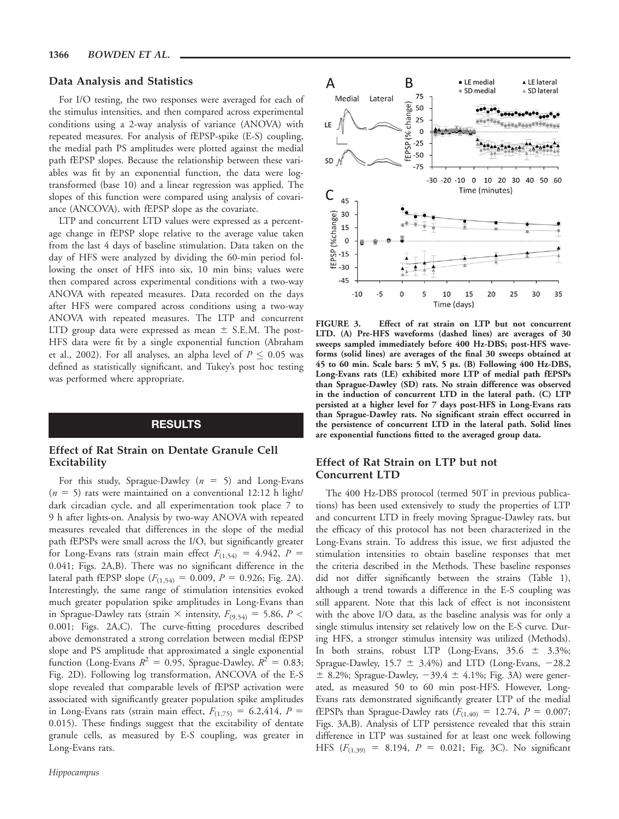#### Data Analysis and Statistics

For I/O testing, the two responses were averaged for each of the stimulus intensities, and then compared across experimental conditions using a 2-way analysis of variance (ANOVA) with repeated measures. For analysis of fEPSP-spike (E-S) coupling, the medial path PS amplitudes were plotted against the medial path fEPSP slopes. Because the relationship between these variables was fit by an exponential function, the data were logtransformed (base 10) and a linear regression was applied. The slopes of this function were compared using analysis of covariance (ANCOVA), with fEPSP slope as the covariate.

LTP and concurrent LTD values were expressed as a percentage change in fEPSP slope relative to the average value taken from the last 4 days of baseline stimulation. Data taken on the day of HFS were analyzed by dividing the 60-min period following the onset of HFS into six, 10 min bins; values were then compared across experimental conditions with a two-way ANOVA with repeated measures. Data recorded on the days after HFS were compared across conditions using a two-way ANOVA with repeated measures. The LTP and concurrent LTD group data were expressed as mean  $\pm$  S.E.M. The post-HFS data were fit by a single exponential function (Abraham et al., 2002). For all analyses, an alpha level of  $P \le 0.05$  was defined as statistically significant, and Tukey's post hoc testing was performed where appropriate.

#### RESULTS

#### Effect of Rat Strain on Dentate Granule Cell Excitability

For this study, Sprague-Dawley ( $n = 5$ ) and Long-Evans  $(n = 5)$  rats were maintained on a conventional 12:12 h light/ dark circadian cycle, and all experimentation took place 7 to 9 h after lights-on. Analysis by two-way ANOVA with repeated measures revealed that differences in the slope of the medial path fEPSPs were small across the I/O, but significantly greater for Long-Evans rats (strain main effect  $F_{(1,54)} = 4.942$ ,  $P =$ 0.041; Figs. 2A,B). There was no significant difference in the lateral path fEPSP slope ( $F_{(1,54)} = 0.009$ ,  $P = 0.926$ ; Fig. 2A). Interestingly, the same range of stimulation intensities evoked much greater population spike amplitudes in Long-Evans than in Sprague-Dawley rats (strain  $\times$  intensity,  $F_{(9,54)} = 5.86$ ,  $P <$ 0.001; Figs. 2A,C). The curve-fitting procedures described above demonstrated a strong correlation between medial fEPSP slope and PS amplitude that approximated a single exponential function (Long-Evans  $R^2 = 0.95$ , Sprague-Dawley,  $R^2 = 0.83$ ; Fig. 2D). Following log transformation, ANCOVA of the E-S slope revealed that comparable levels of fEPSP activation were associated with significantly greater population spike amplitudes in Long-Evans rats (strain main effect,  $F_{(1,75)} = 6.2,414$ ,  $P =$ 0.015). These findings suggest that the excitability of dentate granule cells, as measured by E-S coupling, was greater in Long-Evans rats.



FIGURE 3. Effect of rat strain on LTP but not concurrent LTD. (A) Pre-HFS waveforms (dashed lines) are averages of 30 sweeps sampled immediately before 400 Hz-DBS; post-HFS waveforms (solid lines) are averages of the final 30 sweeps obtained at 45 to 60 min. Scale bars: 5 mV, 5 ls. (B) Following 400 Hz-DBS, Long-Evans rats (LE) exhibited more LTP of medial path fEPSPs than Sprague-Dawley (SD) rats. No strain difference was observed in the induction of concurrent LTD in the lateral path. (C) LTP persisted at a higher level for 7 days post-HFS in Long-Evans rats than Sprague-Dawley rats. No significant strain effect occurred in the persistence of concurrent LTD in the lateral path. Solid lines are exponential functions fitted to the averaged group data.

## Effect of Rat Strain on LTP but not Concurrent LTD

The 400 Hz-DBS protocol (termed 50T in previous publications) has been used extensively to study the properties of LTP and concurrent LTD in freely moving Sprague-Dawley rats, but the efficacy of this protocol has not been characterized in the Long-Evans strain. To address this issue, we first adjusted the stimulation intensities to obtain baseline responses that met the criteria described in the Methods. These baseline responses did not differ significantly between the strains (Table 1), although a trend towards a difference in the E-S coupling was still apparent. Note that this lack of effect is not inconsistent with the above I/O data, as the baseline analysis was for only a single stimulus intensity set relatively low on the E-S curve. During HFS, a stronger stimulus intensity was utilized (Methods). In both strains, robust LTP (Long-Evans,  $35.6 \pm 3.3\%$ ; Sprague-Dawley,  $15.7 \pm 3.4\%$ ) and LTD (Long-Evans, -28.2  $\pm$  8.2%; Sprague-Dawley,  $-39.4 \pm 4.1$ %; Fig. 3A) were generated, as measured 50 to 60 min post-HFS. However, Long-Evans rats demonstrated significantly greater LTP of the medial fEPSPs than Sprague-Dawley rats  $(F_{(1,40)} = 12.74, P = 0.007;$ Figs. 3A,B). Analysis of LTP persistence revealed that this strain difference in LTP was sustained for at least one week following HFS  $(F_{(1,39)} = 8.194, P = 0.021; Fig. 3C)$ . No significant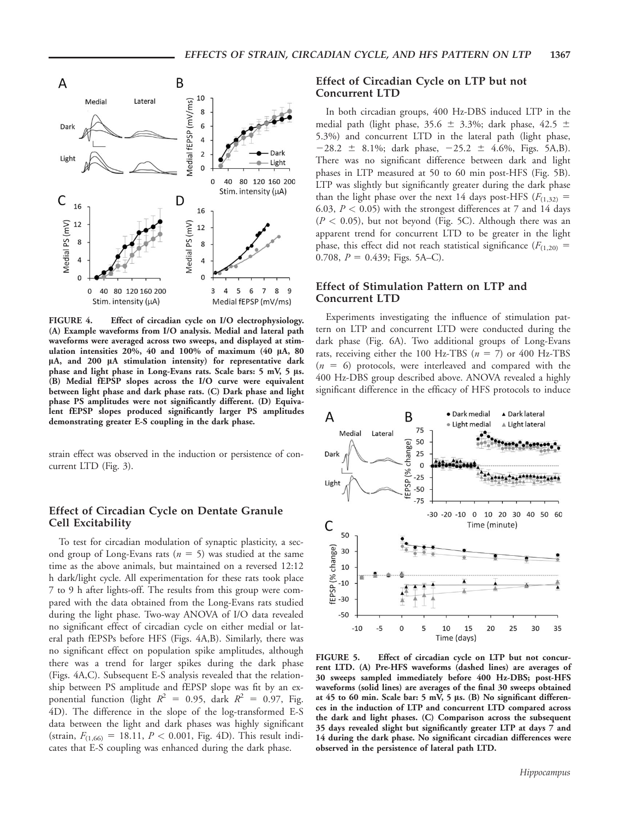

FIGURE 4. Effect of circadian cycle on I/O electrophysiology. (A) Example waveforms from I/O analysis. Medial and lateral path waveforms were averaged across two sweeps, and displayed at stimulation intensities  $20\%$ , 40 and  $100\%$  of maximum (40  $\mu$ A, 80 µA, and 200 µA stimulation intensity) for representative dark phase and light phase in Long-Evans rats. Scale bars: 5 mV, 5 ls. (B) Medial fEPSP slopes across the I/O curve were equivalent between light phase and dark phase rats. (C) Dark phase and light phase PS amplitudes were not significantly different. (D) Equivalent fEPSP slopes produced significantly larger PS amplitudes demonstrating greater E-S coupling in the dark phase.

strain effect was observed in the induction or persistence of concurrent LTD (Fig. 3).

#### Effect of Circadian Cycle on Dentate Granule Cell Excitability

To test for circadian modulation of synaptic plasticity, a second group of Long-Evans rats ( $n = 5$ ) was studied at the same time as the above animals, but maintained on a reversed 12:12 h dark/light cycle. All experimentation for these rats took place 7 to 9 h after lights-off. The results from this group were compared with the data obtained from the Long-Evans rats studied during the light phase. Two-way ANOVA of I/O data revealed no significant effect of circadian cycle on either medial or lateral path fEPSPs before HFS (Figs. 4A,B). Similarly, there was no significant effect on population spike amplitudes, although there was a trend for larger spikes during the dark phase (Figs. 4A,C). Subsequent E-S analysis revealed that the relationship between PS amplitude and fEPSP slope was fit by an exponential function (light  $R^2 = 0.95$ , dark  $R^2 = 0.97$ , Fig. 4D). The difference in the slope of the log-transformed E-S data between the light and dark phases was highly significant (strain,  $F_{(1,66)} = 18.11$ ,  $P < 0.001$ , Fig. 4D). This result indicates that E-S coupling was enhanced during the dark phase.

#### Effect of Circadian Cycle on LTP but not Concurrent LTD

In both circadian groups, 400 Hz-DBS induced LTP in the medial path (light phase, 35.6  $\pm$  3.3%; dark phase, 42.5  $\pm$ 5.3%) and concurrent LTD in the lateral path (light phase,  $-28.2 \pm 8.1\%$ ; dark phase,  $-25.2 \pm 4.6\%$ , Figs. 5A,B). There was no significant difference between dark and light phases in LTP measured at 50 to 60 min post-HFS (Fig. 5B). LTP was slightly but significantly greater during the dark phase than the light phase over the next 14 days post-HFS ( $F_{(1,32)}$  = 6.03,  $P < 0.05$ ) with the strongest differences at 7 and 14 days  $(P < 0.05)$ , but not beyond (Fig. 5C). Although there was an apparent trend for concurrent LTD to be greater in the light phase, this effect did not reach statistical significance ( $F_{(1,20)}$  = 0.708,  $P = 0.439$ ; Figs. 5A–C).

#### Effect of Stimulation Pattern on LTP and Concurrent LTD

Experiments investigating the influence of stimulation pattern on LTP and concurrent LTD were conducted during the dark phase (Fig. 6A). Two additional groups of Long-Evans rats, receiving either the 100 Hz-TBS ( $n = 7$ ) or 400 Hz-TBS  $(n = 6)$  protocols, were interleaved and compared with the 400 Hz-DBS group described above. ANOVA revealed a highly significant difference in the efficacy of HFS protocols to induce



FIGURE 5. Effect of circadian cycle on LTP but not concurrent LTD. (A) Pre-HFS waveforms (dashed lines) are averages of 30 sweeps sampled immediately before 400 Hz-DBS; post-HFS waveforms (solid lines) are averages of the final 30 sweeps obtained at 45 to 60 min. Scale bar: 5 mV, 5 µs. (B) No significant differences in the induction of LTP and concurrent LTD compared across the dark and light phases. (C) Comparison across the subsequent 35 days revealed slight but significantly greater LTP at days 7 and 14 during the dark phase. No significant circadian differences were observed in the persistence of lateral path LTD.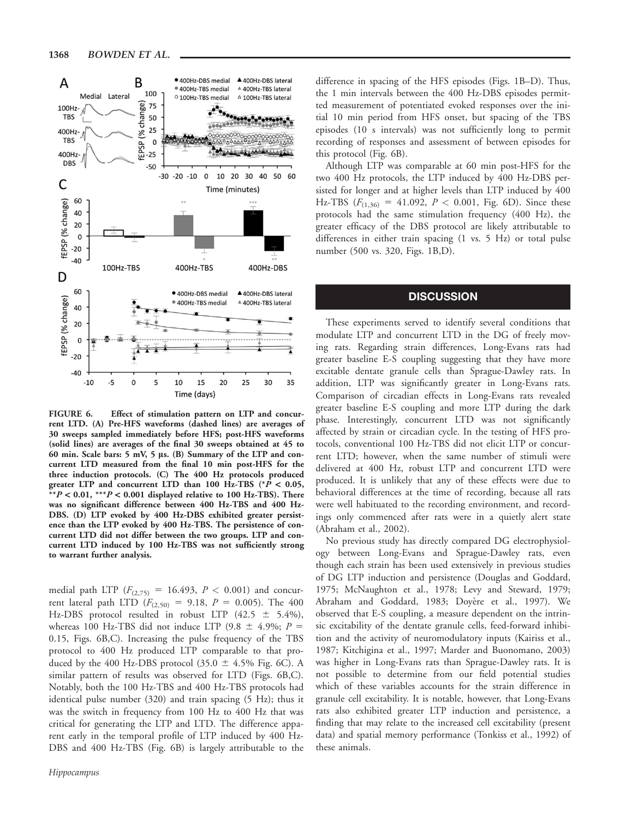

FIGURE 6. Effect of stimulation pattern on LTP and concurrent LTD. (A) Pre-HFS waveforms (dashed lines) are averages of 30 sweeps sampled immediately before HFS; post-HFS waveforms (solid lines) are averages of the final 30 sweeps obtained at 45 to 60 min. Scale bars: 5 mV, 5 ls. (B) Summary of the LTP and concurrent LTD measured from the final 10 min post-HFS for the three induction protocols. (C) The 400 Hz protocols produced greater LTP and concurrent LTD than 100 Hz-TBS (\*P < 0.05,  $* p < 0.01$ ,  $* p < 0.001$  displayed relative to 100 Hz-TBS). There was no significant difference between 400 Hz-TBS and 400 Hz-DBS. (D) LTP evoked by 400 Hz-DBS exhibited greater persistence than the LTP evoked by 400 Hz-TBS. The persistence of concurrent LTD did not differ between the two groups. LTP and concurrent LTD induced by 100 Hz-TBS was not sufficiently strong to warrant further analysis.

medial path LTP  $(F_{(2,75)} = 16.493, P < 0.001)$  and concurrent lateral path LTD ( $F_{(2,50)} = 9.18$ ,  $P = 0.005$ ). The 400 Hz-DBS protocol resulted in robust LTP  $(42.5 \pm 5.4\%)$ , whereas 100 Hz-TBS did not induce LTP (9.8  $\pm$  4.9%; P = 0.15, Figs. 6B,C). Increasing the pulse frequency of the TBS protocol to 400 Hz produced LTP comparable to that produced by the 400 Hz-DBS protocol (35.0  $\pm$  4.5% Fig. 6C). A similar pattern of results was observed for LTD (Figs. 6B,C). Notably, both the 100 Hz-TBS and 400 Hz-TBS protocols had identical pulse number (320) and train spacing (5 Hz); thus it was the switch in frequency from 100 Hz to 400 Hz that was critical for generating the LTP and LTD. The difference apparent early in the temporal profile of LTP induced by 400 Hz-DBS and 400 Hz-TBS (Fig. 6B) is largely attributable to the

difference in spacing of the HFS episodes (Figs. 1B–D). Thus, the 1 min intervals between the 400 Hz-DBS episodes permitted measurement of potentiated evoked responses over the initial 10 min period from HFS onset, but spacing of the TBS episodes (10 s intervals) was not sufficiently long to permit recording of responses and assessment of between episodes for this protocol (Fig. 6B).

Although LTP was comparable at 60 min post-HFS for the two 400 Hz protocols, the LTP induced by 400 Hz-DBS persisted for longer and at higher levels than LTP induced by 400 Hz-TBS  $(F_{(1,36)} = 41.092, P < 0.001,$  Fig. 6D). Since these protocols had the same stimulation frequency (400 Hz), the greater efficacy of the DBS protocol are likely attributable to differences in either train spacing (1 vs. 5 Hz) or total pulse number (500 vs. 320, Figs. 1B,D).

#### **DISCUSSION**

These experiments served to identify several conditions that modulate LTP and concurrent LTD in the DG of freely moving rats. Regarding strain differences, Long-Evans rats had greater baseline E-S coupling suggesting that they have more excitable dentate granule cells than Sprague-Dawley rats. In addition, LTP was significantly greater in Long-Evans rats. Comparison of circadian effects in Long-Evans rats revealed greater baseline E-S coupling and more LTP during the dark phase. Interestingly, concurrent LTD was not significantly affected by strain or circadian cycle. In the testing of HFS protocols, conventional 100 Hz-TBS did not elicit LTP or concurrent LTD; however, when the same number of stimuli were delivered at 400 Hz, robust LTP and concurrent LTD were produced. It is unlikely that any of these effects were due to behavioral differences at the time of recording, because all rats were well habituated to the recording environment, and recordings only commenced after rats were in a quietly alert state (Abraham et al., 2002).

No previous study has directly compared DG electrophysiology between Long-Evans and Sprague-Dawley rats, even though each strain has been used extensively in previous studies of DG LTP induction and persistence (Douglas and Goddard, 1975; McNaughton et al., 1978; Levy and Steward, 1979; Abraham and Goddard, 1983; Doyère et al., 1997). We observed that E-S coupling, a measure dependent on the intrinsic excitability of the dentate granule cells, feed-forward inhibition and the activity of neuromodulatory inputs (Kairiss et al., 1987; Kitchigina et al., 1997; Marder and Buonomano, 2003) was higher in Long-Evans rats than Sprague-Dawley rats. It is not possible to determine from our field potential studies which of these variables accounts for the strain difference in granule cell excitability. It is notable, however, that Long-Evans rats also exhibited greater LTP induction and persistence, a finding that may relate to the increased cell excitability (present data) and spatial memory performance (Tonkiss et al., 1992) of these animals.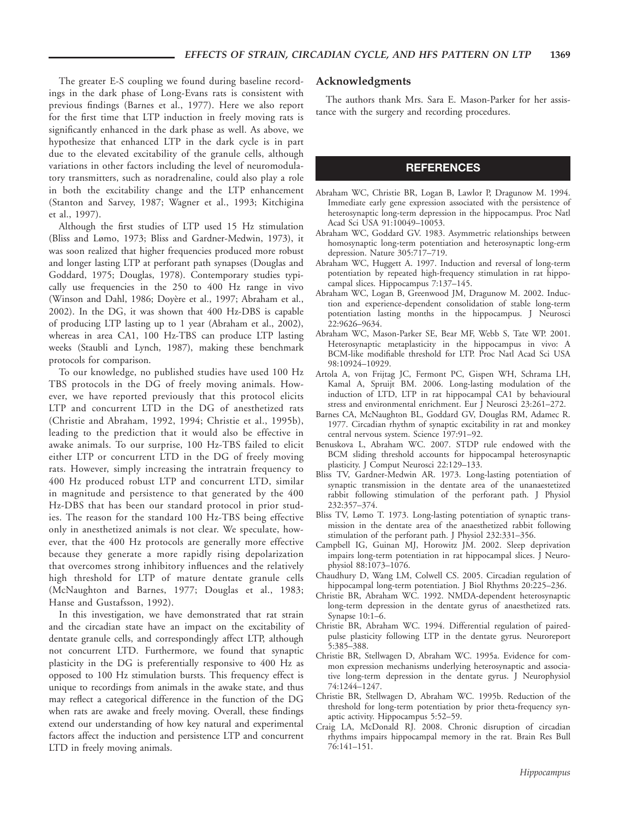The greater E-S coupling we found during baseline recordings in the dark phase of Long-Evans rats is consistent with previous findings (Barnes et al., 1977). Here we also report for the first time that LTP induction in freely moving rats is significantly enhanced in the dark phase as well. As above, we hypothesize that enhanced LTP in the dark cycle is in part due to the elevated excitability of the granule cells, although variations in other factors including the level of neuromodulatory transmitters, such as noradrenaline, could also play a role in both the excitability change and the LTP enhancement (Stanton and Sarvey, 1987; Wagner et al., 1993; Kitchigina et al., 1997).

Although the first studies of LTP used 15 Hz stimulation (Bliss and Lømo, 1973; Bliss and Gardner-Medwin, 1973), it was soon realized that higher frequencies produced more robust and longer lasting LTP at perforant path synapses (Douglas and Goddard, 1975; Douglas, 1978). Contemporary studies typically use frequencies in the 250 to 400 Hz range in vivo (Winson and Dahl, 1986; Doyère et al., 1997; Abraham et al., 2002). In the DG, it was shown that 400 Hz-DBS is capable of producing LTP lasting up to 1 year (Abraham et al., 2002), whereas in area CA1, 100 Hz-TBS can produce LTP lasting weeks (Staubli and Lynch, 1987), making these benchmark protocols for comparison.

To our knowledge, no published studies have used 100 Hz TBS protocols in the DG of freely moving animals. However, we have reported previously that this protocol elicits LTP and concurrent LTD in the DG of anesthetized rats (Christie and Abraham, 1992, 1994; Christie et al., 1995b), leading to the prediction that it would also be effective in awake animals. To our surprise, 100 Hz-TBS failed to elicit either LTP or concurrent LTD in the DG of freely moving rats. However, simply increasing the intratrain frequency to 400 Hz produced robust LTP and concurrent LTD, similar in magnitude and persistence to that generated by the 400 Hz-DBS that has been our standard protocol in prior studies. The reason for the standard 100 Hz-TBS being effective only in anesthetized animals is not clear. We speculate, however, that the 400 Hz protocols are generally more effective because they generate a more rapidly rising depolarization that overcomes strong inhibitory influences and the relatively high threshold for LTP of mature dentate granule cells (McNaughton and Barnes, 1977; Douglas et al., 1983; Hanse and Gustafsson, 1992).

In this investigation, we have demonstrated that rat strain and the circadian state have an impact on the excitability of dentate granule cells, and correspondingly affect LTP, although not concurrent LTD. Furthermore, we found that synaptic plasticity in the DG is preferentially responsive to 400 Hz as opposed to 100 Hz stimulation bursts. This frequency effect is unique to recordings from animals in the awake state, and thus may reflect a categorical difference in the function of the DG when rats are awake and freely moving. Overall, these findings extend our understanding of how key natural and experimental factors affect the induction and persistence LTP and concurrent LTD in freely moving animals.

#### Acknowledgments

The authors thank Mrs. Sara E. Mason-Parker for her assistance with the surgery and recording procedures.

#### REFERENCES

- Abraham WC, Christie BR, Logan B, Lawlor P, Dragunow M. 1994. Immediate early gene expression associated with the persistence of heterosynaptic long-term depression in the hippocampus. Proc Natl Acad Sci USA 91:10049–10053.
- Abraham WC, Goddard GV. 1983. Asymmetric relationships between homosynaptic long-term potentiation and heterosynaptic long-erm depression. Nature 305:717–719.
- Abraham WC, Huggett A. 1997. Induction and reversal of long-term potentiation by repeated high-frequency stimulation in rat hippocampal slices. Hippocampus 7:137–145.
- Abraham WC, Logan B, Greenwood JM, Dragunow M. 2002. Induction and experience-dependent consolidation of stable long-term potentiation lasting months in the hippocampus. J Neurosci 22:9626–9634.
- Abraham WC, Mason-Parker SE, Bear MF, Webb S, Tate WP. 2001. Heterosynaptic metaplasticity in the hippocampus in vivo: A BCM-like modifiable threshold for LTP. Proc Natl Acad Sci USA 98:10924–10929.
- Artola A, von Frijtag JC, Fermont PC, Gispen WH, Schrama LH, Kamal A, Spruijt BM. 2006. Long-lasting modulation of the induction of LTD, LTP in rat hippocampal CA1 by behavioural stress and environmental enrichment. Eur J Neurosci 23:261–272.
- Barnes CA, McNaughton BL, Goddard GV, Douglas RM, Adamec R. 1977. Circadian rhythm of synaptic excitability in rat and monkey central nervous system. Science 197:91–92.
- Benuskova L, Abraham WC. 2007. STDP rule endowed with the BCM sliding threshold accounts for hippocampal heterosynaptic plasticity. J Comput Neurosci 22:129–133.
- Bliss TV, Gardner-Medwin AR. 1973. Long-lasting potentiation of synaptic transmission in the dentate area of the unanaestetized rabbit following stimulation of the perforant path. J Physiol 232:357–374.
- Bliss TV, Lømo T. 1973. Long-lasting potentiation of synaptic transmission in the dentate area of the anaesthetized rabbit following stimulation of the perforant path. J Physiol 232:331–356.
- Campbell IG, Guinan MJ, Horowitz JM. 2002. Sleep deprivation impairs long-term potentiation in rat hippocampal slices. J Neurophysiol 88:1073–1076.
- Chaudhury D, Wang LM, Colwell CS. 2005. Circadian regulation of hippocampal long-term potentiation. J Biol Rhythms 20:225–236.
- Christie BR, Abraham WC. 1992. NMDA-dependent heterosynaptic long-term depression in the dentate gyrus of anaesthetized rats. Synapse 10:1–6.
- Christie BR, Abraham WC. 1994. Differential regulation of pairedpulse plasticity following LTP in the dentate gyrus. Neuroreport 5:385–388.
- Christie BR, Stellwagen D, Abraham WC. 1995a. Evidence for common expression mechanisms underlying heterosynaptic and associative long-term depression in the dentate gyrus. J Neurophysiol 74:1244–1247.
- Christie BR, Stellwagen D, Abraham WC. 1995b. Reduction of the threshold for long-term potentiation by prior theta-frequency synaptic activity. Hippocampus 5:52–59.
- Craig LA, McDonald RJ. 2008. Chronic disruption of circadian rhythms impairs hippocampal memory in the rat. Brain Res Bull 76:141–151.